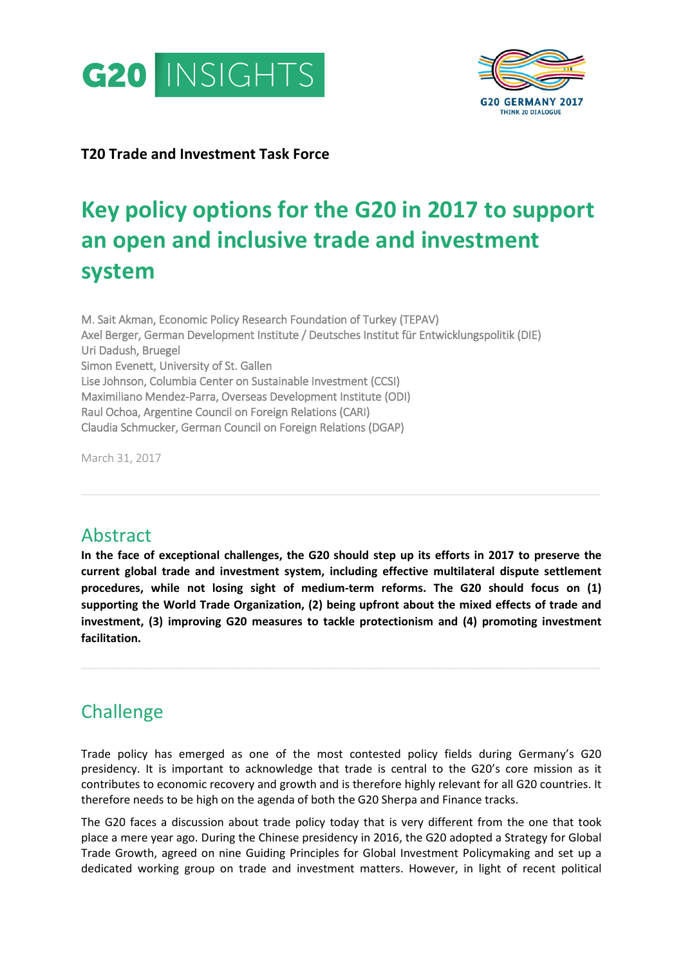



### **T20 Trade and Investment Task Force**

# **Key policy options for the G20 in 2017 to support an open and inclusive trade and investment system**

M. Sait Akman, Economic Policy Research Foundation of Turkey (TEPAV) Axel Berger, German Development Institute / Deutsches Institut für Entwicklungspolitik (DIE) Uri Dadush, Bruegel Simon Evenett, University of St. Gallen Lise Johnson, Columbia Center on Sustainable Investment (CCSI) Maximiliano Mendez-Parra, Overseas Development Institute (ODI) Raul Ochoa, Argentine Council on Foreign Relations (CARI) Claudia Schmucker, German Council on Foreign Relations (DGAP)

March 31, 2017

# Abstract

**In the face of exceptional challenges, the G20 should step up its efforts in 2017 to preserve the current global trade and investment system, including effective multilateral dispute settlement procedures, while not losing sight of medium-term reforms. The G20 should focus on (1) supporting the World Trade Organization, (2) being upfront about the mixed effects of trade and investment, (3) improving G20 measures to tackle protectionism and (4) promoting investment facilitation.**

**\_\_\_\_\_\_\_\_\_\_\_\_\_\_\_\_\_\_\_\_\_\_\_\_\_\_\_\_\_\_\_\_\_\_\_\_\_\_\_\_\_\_\_\_\_\_\_\_\_\_\_\_\_\_\_\_\_\_\_\_\_\_\_\_\_\_\_\_\_\_\_\_\_\_**

**\_\_\_\_\_\_\_\_\_\_\_\_\_\_\_\_\_\_\_\_\_\_\_\_\_\_\_\_\_\_\_\_\_\_\_\_\_\_\_\_\_\_\_\_\_\_\_\_\_\_\_\_\_\_\_\_\_\_\_\_\_\_\_\_\_\_\_\_\_\_\_\_\_\_**

# **Challenge**

Trade policy has emerged as one of the most contested policy fields during Germany's G20 presidency. It is important to acknowledge that trade is central to the G20's core mission as it contributes to economic recovery and growth and is therefore highly relevant for all G20 countries. It therefore needs to be high on the agenda of both the G20 Sherpa and Finance tracks.

The G20 faces a discussion about trade policy today that is very different from the one that took place a mere year ago. During the Chinese presidency in 2016, the G20 adopted a Strategy for Global Trade Growth, agreed on nine Guiding Principles for Global Investment Policymaking and set up a dedicated working group on trade and investment matters. However, in light of recent political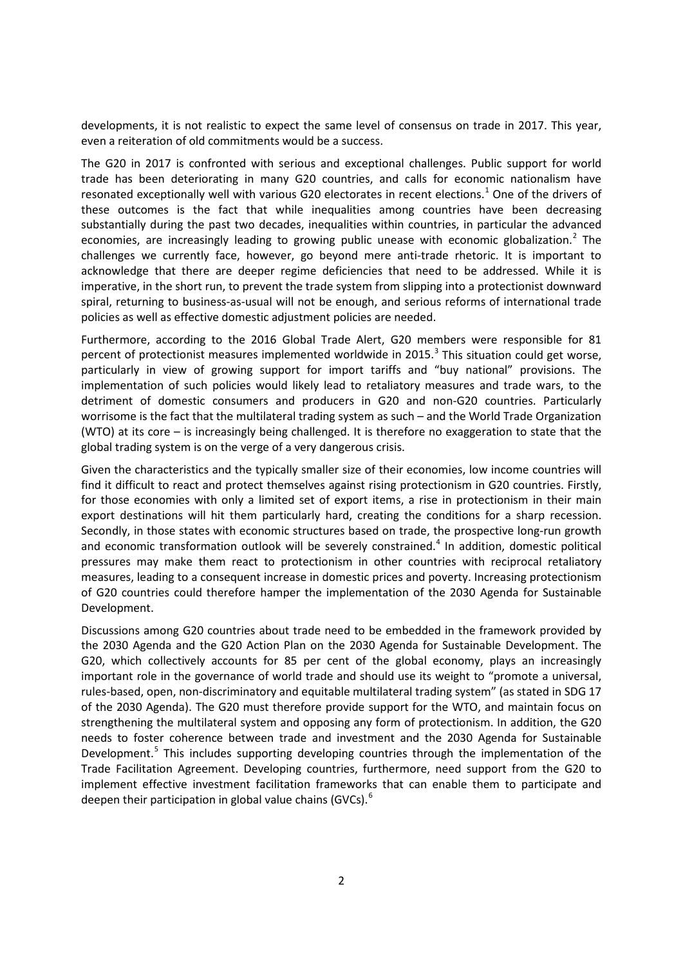developments, it is not realistic to expect the same level of consensus on trade in 2017. This year, even a reiteration of old commitments would be a success.

The G20 in 2017 is confronted with serious and exceptional challenges. Public support for world trade has been deteriorating in many G20 countries, and calls for economic nationalism have resonated exceptionally well with various G20 electorates in recent elections.<sup>[1](#page-8-0)</sup> One of the drivers of these outcomes is the fact that while inequalities among countries have been decreasing substantially during the past two decades, inequalities within countries, in particular the advanced economies, are increasingly leading to growing public unease with economic globalization.<sup>[2](#page-8-1)</sup> The challenges we currently face, however, go beyond mere anti-trade rhetoric. It is important to acknowledge that there are deeper regime deficiencies that need to be addressed. While it is imperative, in the short run, to prevent the trade system from slipping into a protectionist downward spiral, returning to business-as-usual will not be enough, and serious reforms of international trade policies as well as effective domestic adjustment policies are needed.

Furthermore, according to the 2016 Global Trade Alert, G20 members were responsible for 81 percent of protectionist measures implemented worldwide in 2015. $3$  This situation could get worse, particularly in view of growing support for import tariffs and "buy national" provisions. The implementation of such policies would likely lead to retaliatory measures and trade wars, to the detriment of domestic consumers and producers in G20 and non-G20 countries. Particularly worrisome is the fact that the multilateral trading system as such – and the World Trade Organization (WTO) at its core – is increasingly being challenged. It is therefore no exaggeration to state that the global trading system is on the verge of a very dangerous crisis.

Given the characteristics and the typically smaller size of their economies, low income countries will find it difficult to react and protect themselves against rising protectionism in G20 countries. Firstly, for those economies with only a limited set of export items, a rise in protectionism in their main export destinations will hit them particularly hard, creating the conditions for a sharp recession. Secondly, in those states with economic structures based on trade, the prospective long-run growth and economic transformation outlook will be severely constrained. $4$  In addition, domestic political pressures may make them react to protectionism in other countries with reciprocal retaliatory measures, leading to a consequent increase in domestic prices and poverty. Increasing protectionism of G20 countries could therefore hamper the implementation of the 2030 Agenda for Sustainable Development.

Discussions among G20 countries about trade need to be embedded in the framework provided by the 2030 Agenda and the G20 Action Plan on the 2030 Agenda for Sustainable Development. The G20, which collectively accounts for 85 per cent of the global economy, plays an increasingly important role in the governance of world trade and should use its weight to "promote a universal, rules-based, open, non-discriminatory and equitable multilateral trading system" (as stated in SDG 17 of the 2030 Agenda). The G20 must therefore provide support for the WTO, and maintain focus on strengthening the multilateral system and opposing any form of protectionism. In addition, the G20 needs to foster coherence between trade and investment and the 2030 Agenda for Sustainable Development.<sup>[5](#page-8-4)</sup> This includes supporting developing countries through the implementation of the Trade Facilitation Agreement. Developing countries, furthermore, need support from the G20 to implement effective investment facilitation frameworks that can enable them to participate and deepen their participation in global value chains (GVCs). $<sup>6</sup>$  $<sup>6</sup>$  $<sup>6</sup>$ </sup>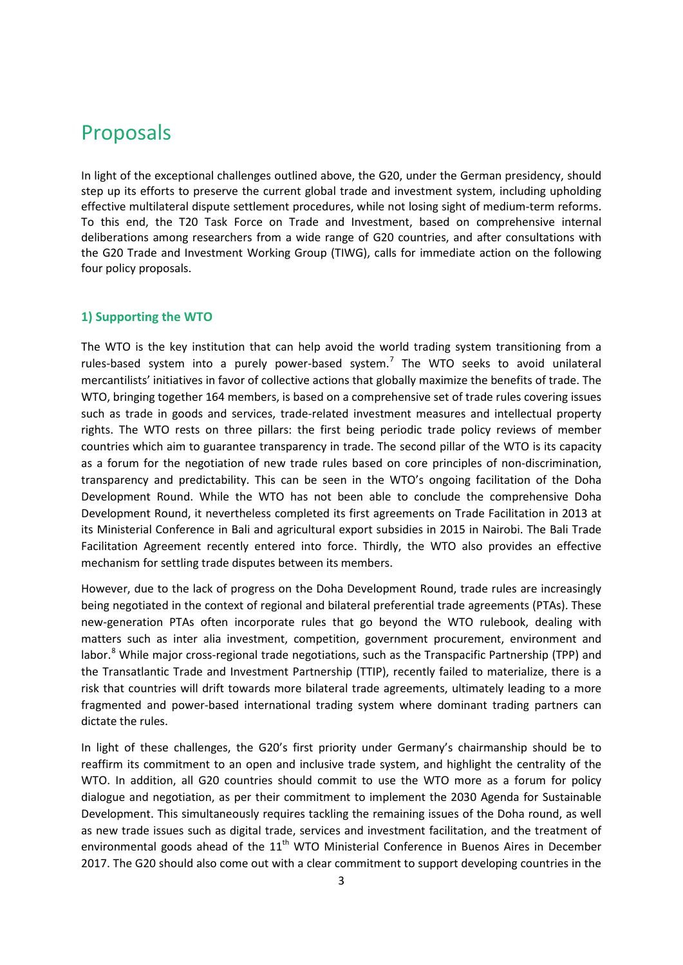# Proposals

In light of the exceptional challenges outlined above, the G20, under the German presidency, should step up its efforts to preserve the current global trade and investment system, including upholding effective multilateral dispute settlement procedures, while not losing sight of medium-term reforms. To this end, the T20 Task Force on Trade and Investment, based on comprehensive internal deliberations among researchers from a wide range of G20 countries, and after consultations with the G20 Trade and Investment Working Group (TIWG), calls for immediate action on the following four policy proposals.

#### **1) Supporting the WTO**

The WTO is the key institution that can help avoid the world trading system transitioning from a rules-based system into a purely power-based system.<sup>[7](#page-9-0)</sup> The WTO seeks to avoid unilateral mercantilists' initiatives in favor of collective actions that globally maximize the benefits of trade. The WTO, bringing together 164 members, is based on a comprehensive set of trade rules covering issues such as trade in goods and services, trade-related investment measures and intellectual property rights. The WTO rests on three pillars: the first being periodic trade policy reviews of member countries which aim to guarantee transparency in trade. The second pillar of the WTO is its capacity as a forum for the negotiation of new trade rules based on core principles of non-discrimination, transparency and predictability. This can be seen in the WTO's ongoing facilitation of the Doha Development Round. While the WTO has not been able to conclude the comprehensive Doha Development Round, it nevertheless completed its first agreements on Trade Facilitation in 2013 at its Ministerial Conference in Bali and agricultural export subsidies in 2015 in Nairobi. The Bali Trade Facilitation Agreement recently entered into force. Thirdly, the WTO also provides an effective mechanism for settling trade disputes between its members.

However, due to the lack of progress on the Doha Development Round, trade rules are increasingly being negotiated in the context of regional and bilateral preferential trade agreements (PTAs). These new-generation PTAs often incorporate rules that go beyond the WTO rulebook, dealing with matters such as inter alia investment, competition, government procurement, environment and labor.<sup>[8](#page-9-1)</sup> While major cross-regional trade negotiations, such as the Transpacific Partnership (TPP) and the Transatlantic Trade and Investment Partnership (TTIP), recently failed to materialize, there is a risk that countries will drift towards more bilateral trade agreements, ultimately leading to a more fragmented and power-based international trading system where dominant trading partners can dictate the rules.

In light of these challenges, the G20's first priority under Germany's chairmanship should be to reaffirm its commitment to an open and inclusive trade system, and highlight the centrality of the WTO. In addition, all G20 countries should commit to use the WTO more as a forum for policy dialogue and negotiation, as per their commitment to implement the 2030 Agenda for Sustainable Development. This simultaneously requires tackling the remaining issues of the Doha round, as well as new trade issues such as digital trade, services and investment facilitation, and the treatment of environmental goods ahead of the  $11<sup>th</sup>$  WTO Ministerial Conference in Buenos Aires in December 2017. The G20 should also come out with a clear commitment to support developing countries in the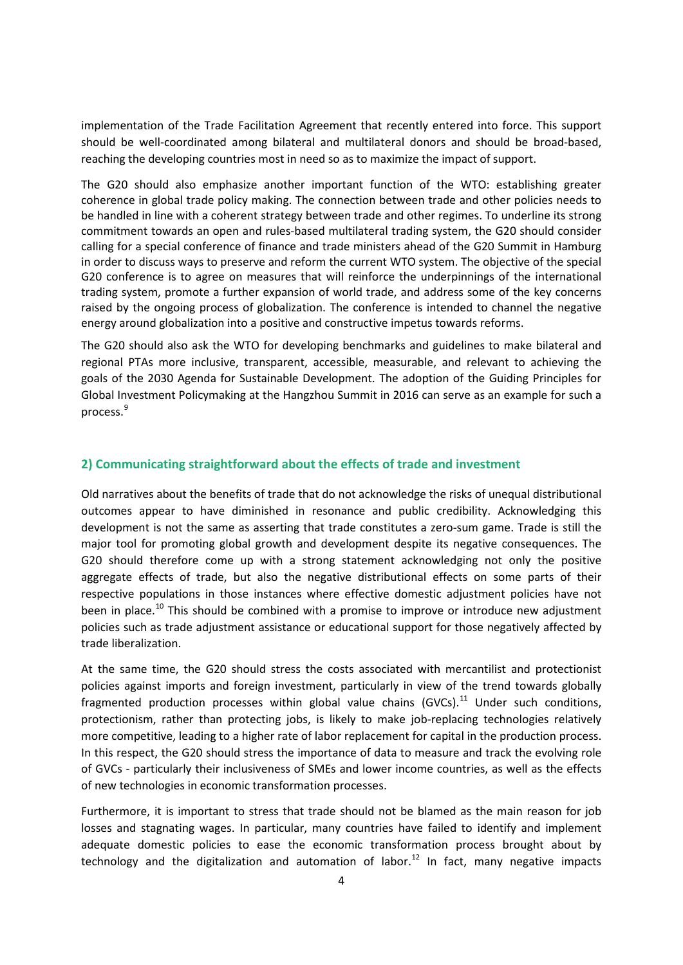implementation of the Trade Facilitation Agreement that recently entered into force. This support should be well-coordinated among bilateral and multilateral donors and should be broad-based, reaching the developing countries most in need so as to maximize the impact of support.

The G20 should also emphasize another important function of the WTO: establishing greater coherence in global trade policy making. The connection between trade and other policies needs to be handled in line with a coherent strategy between trade and other regimes. To underline its strong commitment towards an open and rules-based multilateral trading system, the G20 should consider calling for a special conference of finance and trade ministers ahead of the G20 Summit in Hamburg in order to discuss ways to preserve and reform the current WTO system. The objective of the special G20 conference is to agree on measures that will reinforce the underpinnings of the international trading system, promote a further expansion of world trade, and address some of the key concerns raised by the ongoing process of globalization. The conference is intended to channel the negative energy around globalization into a positive and constructive impetus towards reforms.

The G20 should also ask the WTO for developing benchmarks and guidelines to make bilateral and regional PTAs more inclusive, transparent, accessible, measurable, and relevant to achieving the goals of the 2030 Agenda for Sustainable Development. The adoption of the Guiding Principles for Global Investment Policymaking at the Hangzhou Summit in 2016 can serve as an example for such a process.[9](#page-9-2)

#### **2) Communicating straightforward about the effects of trade and investment**

Old narratives about the benefits of trade that do not acknowledge the risks of unequal distributional outcomes appear to have diminished in resonance and public credibility. Acknowledging this development is not the same as asserting that trade constitutes a zero-sum game. Trade is still the major tool for promoting global growth and development despite its negative consequences. The G20 should therefore come up with a strong statement acknowledging not only the positive aggregate effects of trade, but also the negative distributional effects on some parts of their respective populations in those instances where effective domestic adjustment policies have not been in place.<sup>[10](#page-9-3)</sup> This should be combined with a promise to improve or introduce new adjustment policies such as trade adjustment assistance or educational support for those negatively affected by trade liberalization.

At the same time, the G20 should stress the costs associated with mercantilist and protectionist policies against imports and foreign investment, particularly in view of the trend towards globally fragmented production processes within global value chains (GVCs).<sup>[11](#page-9-4)</sup> Under such conditions, protectionism, rather than protecting jobs, is likely to make job-replacing technologies relatively more competitive, leading to a higher rate of labor replacement for capital in the production process. In this respect, the G20 should stress the importance of data to measure and track the evolving role of GVCs - particularly their inclusiveness of SMEs and lower income countries, as well as the effects of new technologies in economic transformation processes.

Furthermore, it is important to stress that trade should not be blamed as the main reason for job losses and stagnating wages. In particular, many countries have failed to identify and implement adequate domestic policies to ease the economic transformation process brought about by technology and the digitalization and automation of labor.<sup>[12](#page-9-5)</sup> In fact, many negative impacts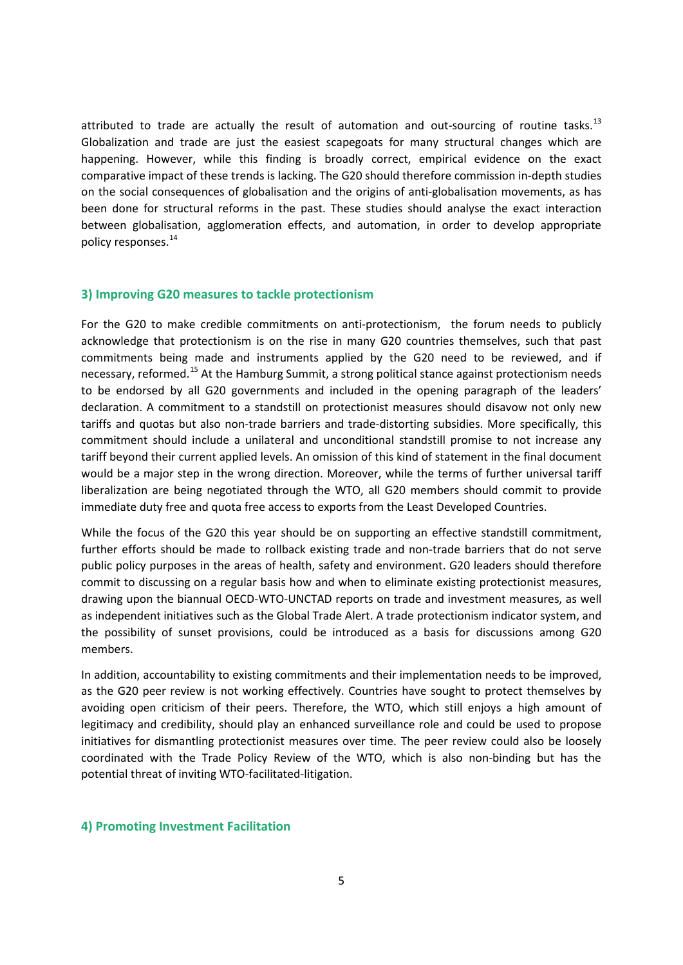attributed to trade are actually the result of automation and out-sourcing of routine tasks.<sup>[13](#page-9-6)</sup> Globalization and trade are just the easiest scapegoats for many structural changes which are happening. However, while this finding is broadly correct, empirical evidence on the exact comparative impact of these trends is lacking. The G20 should therefore commission in-depth studies on the social consequences of globalisation and the origins of anti-globalisation movements, as has been done for structural reforms in the past. These studies should analyse the exact interaction between globalisation, agglomeration effects, and automation, in order to develop appropriate policy responses.<sup>[14](#page-9-7)</sup>

#### **3) Improving G20 measures to tackle protectionism**

For the G20 to make credible commitments on anti-protectionism, the forum needs to publicly acknowledge that protectionism is on the rise in many G20 countries themselves, such that past commitments being made and instruments applied by the G20 need to be reviewed, and if necessary, reformed.<sup>[15](#page-9-8)</sup> At the Hamburg Summit, a strong political stance against protectionism needs to be endorsed by all G20 governments and included in the opening paragraph of the leaders' declaration. A commitment to a standstill on protectionist measures should disavow not only new tariffs and quotas but also non-trade barriers and trade-distorting subsidies. More specifically, this commitment should include a unilateral and unconditional standstill promise to not increase any tariff beyond their current applied levels. An omission of this kind of statement in the final document would be a major step in the wrong direction. Moreover, while the terms of further universal tariff liberalization are being negotiated through the WTO, all G20 members should commit to provide immediate duty free and quota free access to exports from the Least Developed Countries.

While the focus of the G20 this year should be on supporting an effective standstill commitment, further efforts should be made to rollback existing trade and non-trade barriers that do not serve public policy purposes in the areas of health, safety and environment. G20 leaders should therefore commit to discussing on a regular basis how and when to eliminate existing protectionist measures, drawing upon the biannual OECD-WTO-UNCTAD reports on trade and investment measures, as well as independent initiatives such as the Global Trade Alert. A trade protectionism indicator system, and the possibility of sunset provisions, could be introduced as a basis for discussions among G20 members.

In addition, accountability to existing commitments and their implementation needs to be improved, as the G20 peer review is not working effectively. Countries have sought to protect themselves by avoiding open criticism of their peers. Therefore, the WTO, which still enjoys a high amount of legitimacy and credibility, should play an enhanced surveillance role and could be used to propose initiatives for dismantling protectionist measures over time. The peer review could also be loosely coordinated with the Trade Policy Review of the WTO, which is also non-binding but has the potential threat of inviting WTO-facilitated-litigation.

#### **4) Promoting Investment Facilitation**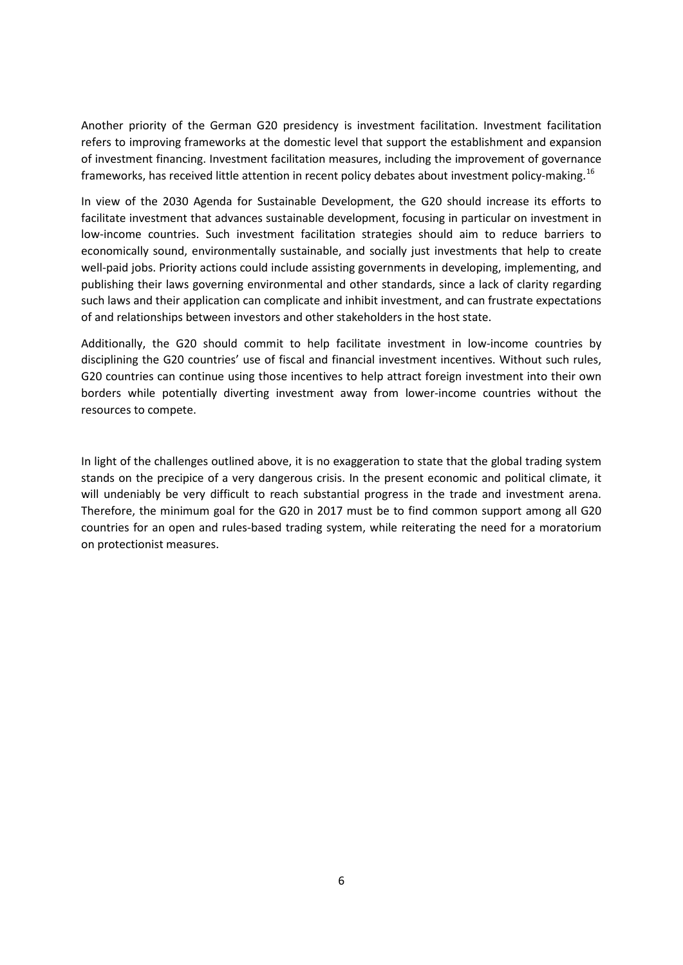Another priority of the German G20 presidency is investment facilitation. Investment facilitation refers to improving frameworks at the domestic level that support the establishment and expansion of investment financing. Investment facilitation measures, including the improvement of governance frameworks, has received little attention in recent policy debates about investment policy-making.[16](#page-9-9)

In view of the 2030 Agenda for Sustainable Development, the G20 should increase its efforts to facilitate investment that advances sustainable development, focusing in particular on investment in low-income countries. Such investment facilitation strategies should aim to reduce barriers to economically sound, environmentally sustainable, and socially just investments that help to create well-paid jobs. Priority actions could include assisting governments in developing, implementing, and publishing their laws governing environmental and other standards, since a lack of clarity regarding such laws and their application can complicate and inhibit investment, and can frustrate expectations of and relationships between investors and other stakeholders in the host state.

Additionally, the G20 should commit to help facilitate investment in low-income countries by disciplining the G20 countries' use of fiscal and financial investment incentives. Without such rules, G20 countries can continue using those incentives to help attract foreign investment into their own borders while potentially diverting investment away from lower-income countries without the resources to compete.

In light of the challenges outlined above, it is no exaggeration to state that the global trading system stands on the precipice of a very dangerous crisis. In the present economic and political climate, it will undeniably be very difficult to reach substantial progress in the trade and investment arena. Therefore, the minimum goal for the G20 in 2017 must be to find common support among all G20 countries for an open and rules-based trading system, while reiterating the need for a moratorium on protectionist measures.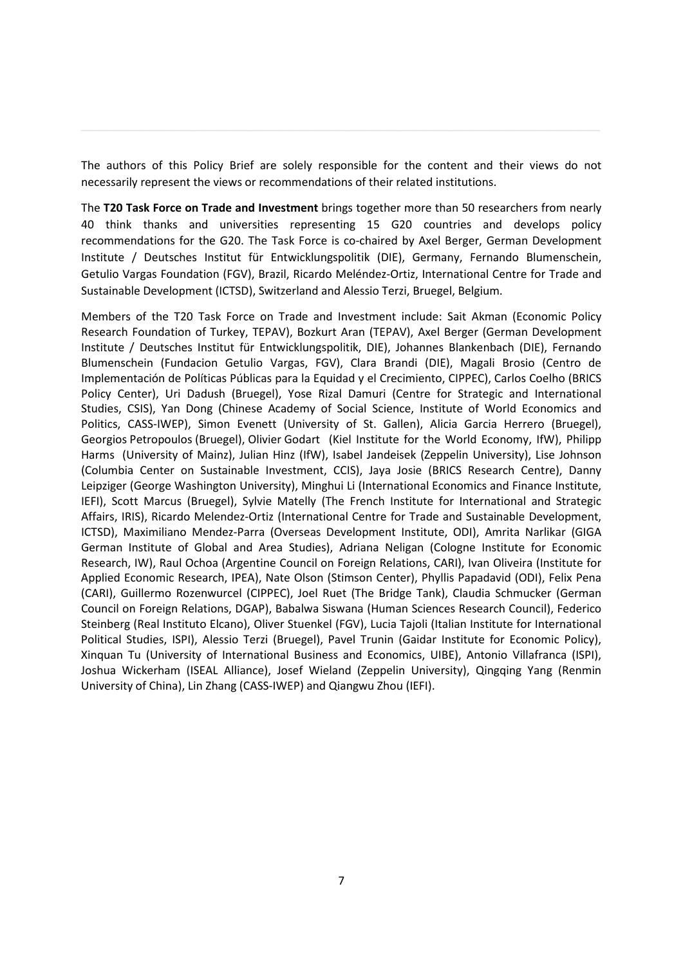The authors of this Policy Brief are solely responsible for the content and their views do not necessarily represent the views or recommendations of their related institutions.

**\_\_\_\_\_\_\_\_\_\_\_\_\_\_\_\_\_\_\_\_\_\_\_\_\_\_\_\_\_\_\_\_\_\_\_\_\_\_\_\_\_\_\_\_\_\_\_\_\_\_\_\_\_\_\_\_\_\_\_\_\_\_\_\_\_\_\_\_\_\_\_\_\_\_**

The **T20 Task Force on Trade and Investment** brings together more than 50 researchers from nearly 40 think thanks and universities representing 15 G20 countries and develops policy recommendations for the G20. The Task Force is co-chaired by Axel Berger, German Development Institute / Deutsches Institut für Entwicklungspolitik (DIE), Germany, Fernando Blumenschein, Getulio Vargas Foundation (FGV), Brazil, Ricardo Meléndez-Ortiz, International Centre for Trade and Sustainable Development (ICTSD), Switzerland and Alessio Terzi, Bruegel, Belgium.

Members of the T20 Task Force on Trade and Investment include: Sait Akman (Economic Policy Research Foundation of Turkey, TEPAV), Bozkurt Aran (TEPAV), Axel Berger (German Development Institute / Deutsches Institut für Entwicklungspolitik, DIE), Johannes Blankenbach (DIE), Fernando Blumenschein (Fundacion Getulio Vargas, FGV), Clara Brandi (DIE), Magali Brosio (Centro de Implementación de Políticas Públicas para la Equidad y el Crecimiento, CIPPEC), Carlos Coelho (BRICS Policy Center), Uri Dadush (Bruegel), Yose Rizal Damuri (Centre for Strategic and International Studies, CSIS), Yan Dong (Chinese Academy of Social Science, Institute of World Economics and Politics, CASS-IWEP), Simon Evenett (University of St. Gallen), Alicia Garcia Herrero (Bruegel), Georgios Petropoulos (Bruegel), Olivier Godart (Kiel Institute for the World Economy, IfW), Philipp Harms (University of Mainz), Julian Hinz (IfW), Isabel Jandeisek (Zeppelin University), Lise Johnson (Columbia Center on Sustainable Investment, CCIS), Jaya Josie (BRICS Research Centre), Danny Leipziger (George Washington University), Minghui Li (International Economics and Finance Institute, IEFI), Scott Marcus (Bruegel), Sylvie Matelly (The French Institute for International and Strategic Affairs, IRIS), Ricardo Melendez-Ortiz (International Centre for Trade and Sustainable Development, ICTSD), Maximiliano Mendez-Parra (Overseas Development Institute, ODI), Amrita Narlikar (GIGA German Institute of Global and Area Studies), Adriana Neligan (Cologne Institute for Economic Research, IW), Raul Ochoa (Argentine Council on Foreign Relations, CARI), Ivan Oliveira (Institute for Applied Economic Research, IPEA), Nate Olson (Stimson Center), Phyllis Papadavid (ODI), Felix Pena (CARI), Guillermo Rozenwurcel (CIPPEC), Joel Ruet (The Bridge Tank), Claudia Schmucker (German Council on Foreign Relations, DGAP), Babalwa Siswana (Human Sciences Research Council), Federico Steinberg (Real Instituto Elcano), Oliver Stuenkel (FGV), Lucia Tajoli (Italian Institute for International Political Studies, ISPI), Alessio Terzi (Bruegel), Pavel Trunin (Gaidar Institute for Economic Policy), Xinquan Tu (University of International Business and Economics, UIBE), Antonio Villafranca (ISPI), Joshua Wickerham (ISEAL Alliance), Josef Wieland (Zeppelin University), Qingqing Yang (Renmin University of China), Lin Zhang (CASS-IWEP) and Qiangwu Zhou (IEFI).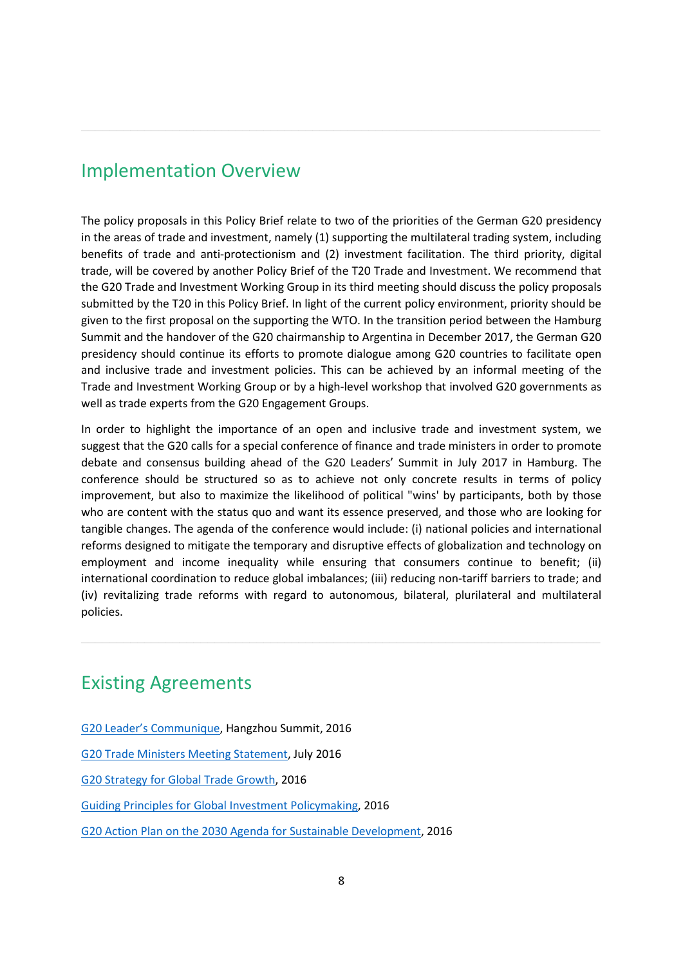# Implementation Overview

The policy proposals in this Policy Brief relate to two of the priorities of the German G20 presidency in the areas of trade and investment, namely (1) supporting the multilateral trading system, including benefits of trade and anti-protectionism and (2) investment facilitation. The third priority, digital trade, will be covered by another Policy Brief of the T20 Trade and Investment. We recommend that the G20 Trade and Investment Working Group in its third meeting should discuss the policy proposals submitted by the T20 in this Policy Brief. In light of the current policy environment, priority should be given to the first proposal on the supporting the WTO. In the transition period between the Hamburg Summit and the handover of the G20 chairmanship to Argentina in December 2017, the German G20 presidency should continue its efforts to promote dialogue among G20 countries to facilitate open and inclusive trade and investment policies. This can be achieved by an informal meeting of the Trade and Investment Working Group or by a high-level workshop that involved G20 governments as well as trade experts from the G20 Engagement Groups.

**\_\_\_\_\_\_\_\_\_\_\_\_\_\_\_\_\_\_\_\_\_\_\_\_\_\_\_\_\_\_\_\_\_\_\_\_\_\_\_\_\_\_\_\_\_\_\_\_\_\_\_\_\_\_\_\_\_\_\_\_\_\_\_\_\_\_\_\_\_\_\_\_\_\_**

In order to highlight the importance of an open and inclusive trade and investment system, we suggest that the G20 calls for a special conference of finance and trade ministers in order to promote debate and consensus building ahead of the G20 Leaders' Summit in July 2017 in Hamburg. The conference should be structured so as to achieve not only concrete results in terms of policy improvement, but also to maximize the likelihood of political "wins' by participants, both by those who are content with the status quo and want its essence preserved, and those who are looking for tangible changes. The agenda of the conference would include: (i) national policies and international reforms designed to mitigate the temporary and disruptive effects of globalization and technology on employment and income inequality while ensuring that consumers continue to benefit; (ii) international coordination to reduce global imbalances; (iii) reducing non-tariff barriers to trade; and (iv) revitalizing trade reforms with regard to autonomous, bilateral, plurilateral and multilateral policies.

**\_\_\_\_\_\_\_\_\_\_\_\_\_\_\_\_\_\_\_\_\_\_\_\_\_\_\_\_\_\_\_\_\_\_\_\_\_\_\_\_\_\_\_\_\_\_\_\_\_\_\_\_\_\_\_\_\_\_\_\_\_\_\_\_\_\_\_\_\_\_\_\_\_\_**

# Existing Agreements

- [G20 Leader's Communique,](https://www.g20.org/Content/DE/_Anlagen/G7_G20/2016-09-04-g20-kommunique-en.pdf?__blob=publicationFile&v=6) Hangzhou Summit, 2016
- [G20 Trade Ministers Meeting Statement,](https://www.wto.org/english/news_e/news16_e/dgra_09jul16_e.pdf) July 2016

[G20 Strategy for Global Trade Growth,](http://trade.ec.europa.eu/doclib/docs/2016/july/tradoc_154789.pdf) 2016

- [Guiding Principles for Global Investment Policymaking,](http://www.g20chn.org/English/Documents/Current/201609/t20160914_3464.html) 2016
- [G20 Action Plan on the 2030 Agenda for Sustainable Development,](https://www.g20.org/Content/DE/_Anlagen/G7_G20/2016-09-08-g20-agenda-action-plan.pdf?__blob=publicationFile&v=4) 2016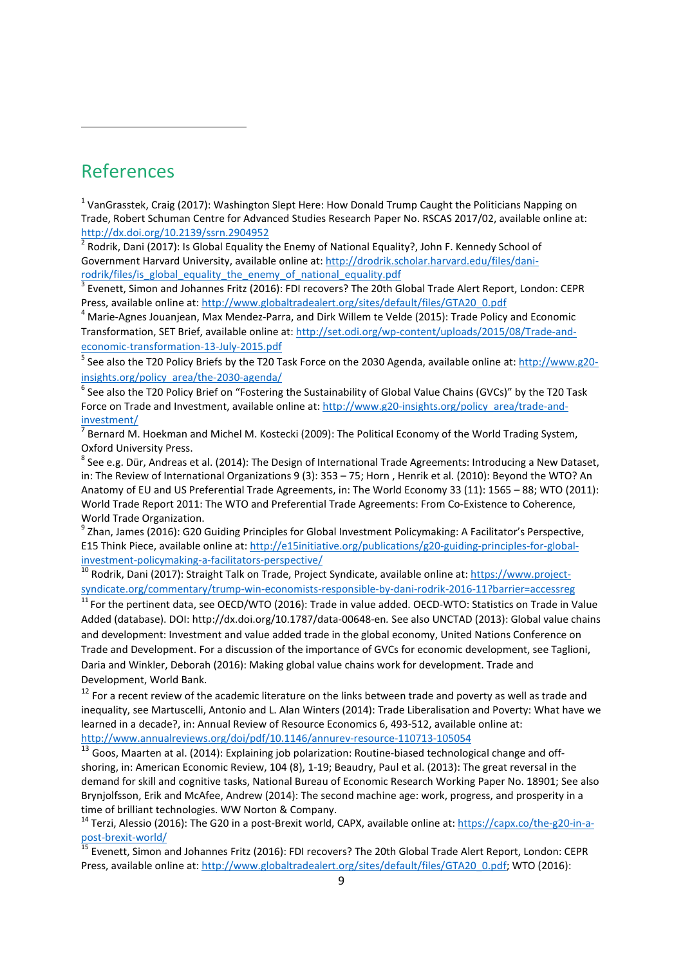# <span id="page-8-0"></span>References

 $\overline{a}$ 

<sup>1</sup> VanGrasstek, Craig (2017): Washington Slept Here: How Donald Trump Caught the Politicians Napping on Trade, Robert Schuman Centre for Advanced Studies Research Paper No. RSCAS 2017/02, available online at: <http://dx.doi.org/10.2139/ssrn.2904952>

<span id="page-8-1"></span><sup>2</sup> Rodrik, Dani (2017): Is Global Equality the Enemy of National Equality?, John F. Kennedy School of Government Harvard University, available online at: [http://drodrik.scholar.harvard.edu/files/dani](http://drodrik.scholar.harvard.edu/files/dani-rodrik/files/is_global_equality_the_enemy_of_national_equality.pdf)[rodrik/files/is\\_global\\_equality\\_the\\_enemy\\_of\\_national\\_equality.pdf](http://drodrik.scholar.harvard.edu/files/dani-rodrik/files/is_global_equality_the_enemy_of_national_equality.pdf)

<span id="page-8-2"></span> $3$  Evenett, Simon and Johannes Fritz (2016): FDI recovers? The 20th Global Trade Alert Report, London: CEPR Press, available online at: [http://www.globaltradealert.org/sites/default/files/GTA20\\_0.pdf](http://www.globaltradealert.org/sites/default/files/GTA20_0.pdf)<br><sup>4</sup> Marie-Agnes Jouanjean, Max Mendez-Parra, and Dirk Willem te Velde (2015): Trade Policy and Economic

<span id="page-8-3"></span>Transformation, SET Brief, available online at: [http://set.odi.org/wp-content/uploads/2015/08/Trade-and](http://set.odi.org/wp-content/uploads/2015/08/Trade-and-economic-transformation-13-July-2015.pdf)[economic-transformation-13-July-2015.pdf](http://set.odi.org/wp-content/uploads/2015/08/Trade-and-economic-transformation-13-July-2015.pdf)

<span id="page-8-4"></span><sup>5</sup> See also the T20 Policy Briefs by the T20 Task Force on the 2030 Agenda, available online at[: http://www.g20](http://www.g20-insights.org/policy_area/the-2030-agenda/) [insights.org/policy\\_area/the-2030-agenda/](http://www.g20-insights.org/policy_area/the-2030-agenda/)

<span id="page-8-5"></span> $6$  See also the T20 Policy Brief on "Fostering the Sustainability of Global Value Chains (GVCs)" by the T20 Task Force on Trade and Investment, available online at[: http://www.g20-insights.org/policy\\_area/trade-and](http://www.g20-insights.org/policy_area/trade-and-investment/)[investment/](http://www.g20-insights.org/policy_area/trade-and-investment/)

Bernard M. Hoekman and Michel M. Kostecki (2009): The Political Economy of the World Trading System, Oxford University Press.<br><sup>8</sup> See e.g. Dür, Andreas et al. (2014): The Design of International Trade Agreements: Introducing a New Dataset,

in: The Review of International Organizations 9 (3): 353 – 75; Horn , Henrik et al. (2010): Beyond the WTO? An Anatomy of EU and US Preferential Trade Agreements, in: The World Economy 33 (11): 1565 – 88; WTO (2011): World Trade Report 2011: The WTO and Preferential Trade Agreements: From Co-Existence to Coherence,

World Trade Organization.<br><sup>9</sup> Zhan, James (2016): G20 Guiding Principles for Global Investment Policymaking: A Facilitator's Perspective, E15 Think Piece, available online at: [http://e15initiative.org/publications/g20-guiding-principles-for-global](http://e15initiative.org/publications/g20-guiding-principles-for-global-investment-policymaking-a-facilitators-perspective/)[investment-policymaking-a-facilitators-perspective/](http://e15initiative.org/publications/g20-guiding-principles-for-global-investment-policymaking-a-facilitators-perspective/)<br><sup>10</sup> Rodrik, Dani (2017): Straight Talk on Trade, Project Syndicate, available online at[: https://www.project-](https://www.project-syndicate.org/commentary/trump-win-economists-responsible-by-dani-rodrik-2016-11?barrier=accessreg)

[syndicate.org/commentary/trump-win-economists-responsible-by-dani-rodrik-2016-11?barrier=accessreg](https://www.project-syndicate.org/commentary/trump-win-economists-responsible-by-dani-rodrik-2016-11?barrier=accessreg)

<sup>11</sup> For the pertinent data, see OECD/WTO (2016): Trade in value added. OECD-WTO: Statistics on Trade in Value Added (database). DOI:<http://dx.doi.org/10.1787/data-00648-en>*.* See also UNCTAD (2013): Global value chains and development: Investment and value added trade in the global economy, United Nations Conference on Trade and Development. For a discussion of the importance of GVCs for economic development, see Taglioni, Daria and Winkler, Deborah (2016): Making global value chains work for development. Trade and Development, World Bank.

 $12$  For a recent review of the academic literature on the links between trade and poverty as well as trade and inequality, see Martuscelli, Antonio and L. Alan Winters (2014): Trade Liberalisation and Poverty: What have we learned in a decade?, in: Annual Review of Resource Economics 6, 493-512, available online at: <http://www.annualreviews.org/doi/pdf/10.1146/annurev-resource-110713-105054>

13 Goos, Maarten at al. (2014): Explaining job polarization: Routine-biased technological change and offshoring, in: American Economic Review, 104 (8), 1-19; Beaudry, Paul et al. (2013): The great reversal in the demand for skill and cognitive tasks, National Bureau of Economic Research Working Paper No. 18901; See also Brynjolfsson, Erik and McAfee, Andrew (2014): The second machine age: work, progress, and prosperity in a time of brilliant technologies. WW Norton & Company.

<sup>14</sup> Terzi, Alessio (2016): The G20 in a post-Brexit world, CAPX, available online at: **https://capx.co/the-g20-in-a-**<br>post-brexit-world/

 $\frac{15}{15}$  Evenett, Simon and Johannes Fritz (2016): FDI recovers? The 20th Global Trade Alert Report, London: CEPR Press, available online at: [http://www.globaltradealert.org/sites/default/files/GTA20\\_0.pdf;](http://www.globaltradealert.org/sites/default/files/GTA20_0.pdf) WTO (2016):